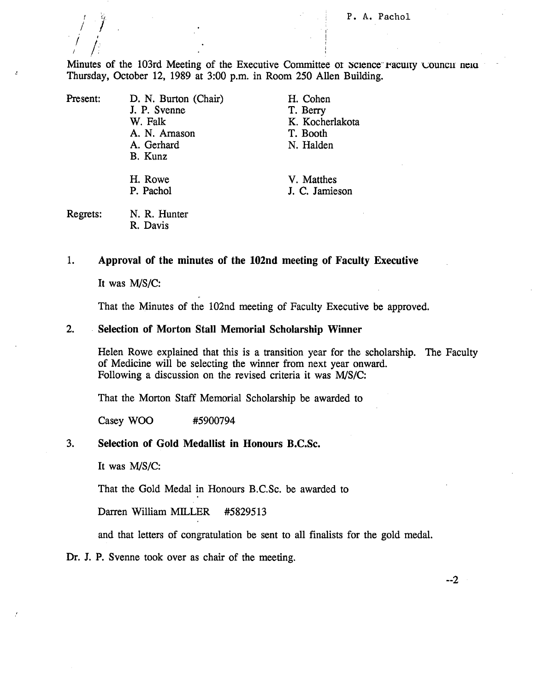### P. A. Pachol

Minutes of the 103rd Meeting of the Executive Committee or Science Faculty Council neight Thursday, October 12, 1989 at 3:00 p.m. in Room *250* Allen Building.

*ii.* 

Present: D. N. Burton (Chair) H. Cohen<br>
J. P. Svenne T. Berry J. P. Svenne<br>W. Falk A. N. Arnason T. Booth<br>
A. Gerhard N. Halder B. Kunz

K. Kocherlakota N. Halden

H. Rowe V. Matthes P. Pachol V. Matthes P. Pachol V. Matthes P. Pachol V. C. Jamie: J. C. Jamieson

Regrets: N. R. Hunter R. Davis

 $1.$ **Approval of the minutes of the 102nd meeting of Faculty Executive** 

It was M/S/C:

That the Minutes of the 102nd meeting of Faculty Executive be approved.

### $2.$ **Selection of Morton Stall Memorial Scholarship Winner**

Helen Rowe explained that this is a transition year for the scholarship. The Faculty of Medicine will be selecting the winner from next year onward. Following a discussion on the revised criteria it was *MIS/C:* 

That the Morton Staff Memorial Scholarship be awarded to

Casey WOO #5900794

### $3.$ **Selection of Gold Medallist in Honours B.C.Sc.**

It was *MIS/C:* 

That the Gold Medal in Honours B.C.Sc. be awarded to

Darren William MILLER #5829513

and that letters of congratulation be sent to all finalists for the gold medal.

Dr. J. P. Svenne took over as chair of the meeting.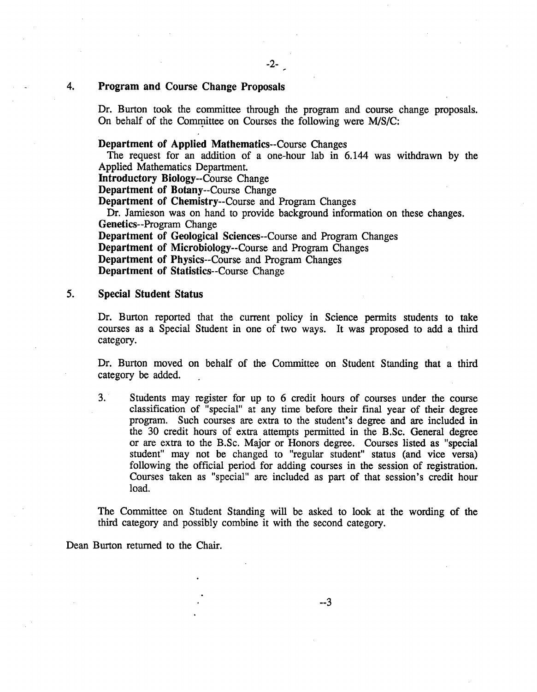#### 4. **Program and Course Change Proposals**

Dr. Burton took the committee through the program and course change proposals. On behalf of the Committee on Courses the following were *WS/C:* 

## **Department of Applied Mathematics--Course** Changes

The request for an addition of a one-hour lab in 6.144 was withdrawn by the Applied Mathematics Department.

**Introductory Biology--Course** Change

**Department of Botany--Course** Change

**Department of Chemistry--Course** and Program Changes Dr. Jamieson was on hand to provide background information on these changes. Genetics--Program Change **Department of Geological** Sciences--Course and Program Changes **Department of** Microbiology--Course and Program Changes **Department of** Physics--Course and Program Changes **Department of** Statistics--Course Change

### $5.$ **Special Student Status**

Dr. Burton reported that the current policy in Science permits students to take courses as a Special Student in one of two ways. It was proposed to add a third category.

Dr. Burton moved on behalf of the Committee on Student Standing that a third category be added.

3. Students may register for up to 6 credit hours of courses under the course classification of "special" at any time before their final year of their degree program. Such courses are extra to the student's degree and are included in the 30 credit hours of extra attempts permitted in the B.Sc. General degree or are extra to the B.Sc. Major or Honors degree. Courses listed as "special student" may not be changed to "regular student" status (and vice versa) following the official period for adding courses in the session of registration. Courses taken as "special" are included as part of that session's credit hour load.

The Committee on Student Standing will be asked to look at the wording of the third category and possibly combine it with the second category.

Dean Burton returned to the Chair.

--3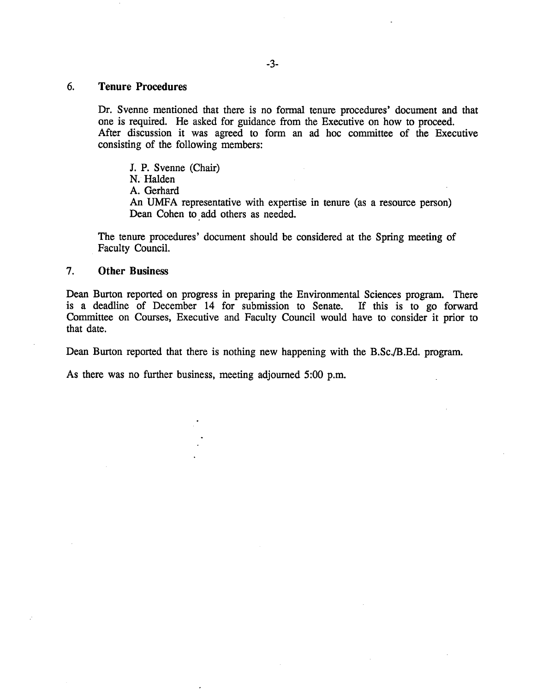#### 6. **Tenure Procedures**

Dr. Svenne mentioned that there is no formal tenure procedures' document and that one is required. He asked for guidance from the Executive on how to proceed. After discussion it was agreed to form an ad hoc committee of the Executive consisting of the following members:

J. P. Svenne (Chair)

N. Halden

A. Gerhard

An UMFA representative with expertise in tenure (as a resource person) Dean Cohen to add others as needed.

The tenure procedures' document should be considered at the Spring meeting of Faculty Council.

### 7. **Other Business**

Dean Burton reported on progress in preparing the Environmental Sciences program. There is a deadline of December 14 for submission to Senate. If this is to go forward Committee on Courses, Executive and Faculty Council would have to consider it prior to that date.

Dean Burton reported that there is nothing new happening with the B.Sc./B.Ed. program.

As there was no further business, meeting adjourned 5:00 p.m.